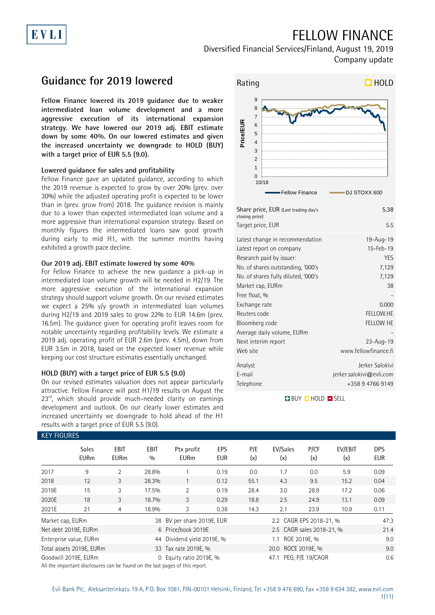# FELLOW FINANCE

Diversified Financial Services/Finland, August 19, 2019 Company update

## **Guidance for 2019 lowered**

EVLI

**Fellow Finance lowered its 2019 guidance due to weaker intermediated loan volume development and a more aggressive execution of its international expansion strategy. We have lowered our 2019 adj. EBIT estimate down by some 40%. On our lowered estimates and given the increased uncertainty we downgrade to HOLD (BUY) with a target price of EUR 5.5 (9.0).**

#### **Lowered guidance for sales and profitability**

Fellow Finance gave an updated guidance, according to which the 2019 revenue is expected to grow by over 20% (prev. over 30%) while the adjusted operating profit is expected to be lower than in (prev. grow from) 2018. The guidance revision is mainly due to a lower than expected intermediated loan volume and a more aggressive than international expansion strategy. Based on monthly figures the intermediated loans saw good growth during early to mid H1, with the summer months having exhibited a growth pace decline.

#### **Our 2019 adj. EBIT estimate lowered by some 40%**

For Fellow Finance to achieve the new guidance a pick-up in intermediated loan volume growth will be needed in H2/19. The more aggressive execution of the international expansion strategy should support volume growth. On our revised estimates we expect a 25% y/y growth in intermediated loan volumes during H2/19 and 2019 sales to grow 22% to EUR 14.6m (prev. 16.5m). The guidance given for operating profit leaves room for notable uncertainty regarding profitability levels. We estimate a 2019 adj. operating profit of EUR 2.6m (prev. 4.5m), down from EUR 3.5m in 2018, based on the expected lower revenue while keeping our cost structure estimates essentially unchanged.

#### **HOLD (BUY) with a target price of EUR 5.5 (9.0)**

On our revised estimates valuation does not appear particularly attractive. Fellow Finance will post H1/19 results on August the 23<sup>rd</sup>, which should provide much-needed clarity on earnings development and outlook. On our clearly lower estimates and increased uncertainty we downgrade to hold ahead of the H1 results with a target price of EUR 5.5 (9.0).



| Share price, EUR (Last trading day's<br>closing price)                                                                                                                                                                                                                                    | 5.38                                                                                                   |
|-------------------------------------------------------------------------------------------------------------------------------------------------------------------------------------------------------------------------------------------------------------------------------------------|--------------------------------------------------------------------------------------------------------|
| Target price, EUR                                                                                                                                                                                                                                                                         | 5.5                                                                                                    |
| Latest change in recommendation<br>Latest report on company<br>Research paid by issuer:<br>No. of shares outstanding, '000's<br>No. of shares fully diluted, '000's<br>Market cap, EURm<br>Free float, %<br>Exchange rate<br>Reuters code<br>Bloomberg code<br>Average daily volume, EURm | 19-Aug-19<br>15-Feb-19<br><b>YES</b><br>7,129<br>7,129<br>38<br>0.000<br>FELLOW.HE<br><b>FELLOW HE</b> |
| Next interim report<br>Web site                                                                                                                                                                                                                                                           | $23 - Aug - 19$<br>www.fellowfinance.fi                                                                |
| Analyst<br>E-mail<br>Telephone                                                                                                                                                                                                                                                            | Jerker Salokivi<br>jerker.salokivi@evli.com<br>+358 9 4766 9149                                        |

#### **BUY CHOLD EISELL**

| <b>KEY FIGURES</b> |                             |                     |             |                                                                                                                                                                                                                                        |            |            |                           |                  |                |                   |
|--------------------|-----------------------------|---------------------|-------------|----------------------------------------------------------------------------------------------------------------------------------------------------------------------------------------------------------------------------------------|------------|------------|---------------------------|------------------|----------------|-------------------|
|                    | <b>Sales</b><br><b>EURm</b> | EBIT<br><b>EURm</b> | EBIT<br>0/0 | Ptx profit<br><b>EURm</b>                                                                                                                                                                                                              | EPS<br>EUR | P/E<br>(x) | EV/Sales<br>(x)           | P/CF<br>(x)      | EV/EBIT<br>(x) | <b>DPS</b><br>EUR |
| 2017               | 9                           | 2                   | 28.8%       |                                                                                                                                                                                                                                        | 0.19       | 0.0        | 1.7                       | 0.0              | 5.9            | 0.09              |
| 2018               | 12                          | 3                   | 28.3%       |                                                                                                                                                                                                                                        | 0.12       | 55.1       | 4.3                       | 9.5              | 15.2           | 0.04              |
| 2019E              | 15                          | 3                   | 17.5%       | $\overline{2}$                                                                                                                                                                                                                         | 0.19       | 28.4       | 3.0                       | 28.9             | 17.2           | 0.06              |
| 2020E              | 18                          | 3                   | 18.7%       | 3                                                                                                                                                                                                                                      | 0.29       | 18.8       | 2.5                       | 24.9             | 13.1           | 0.09              |
| 2021E              | 21                          | 4                   | 18.9%       | 3                                                                                                                                                                                                                                      | 0.38       | 14.3       | 2.1                       | 23.9             | 10.9           | 0.11              |
| Market cap, EURm   |                             |                     |             | 38 BV per share 2019E, EUR                                                                                                                                                                                                             |            |            | 2.2 CAGR EPS 2018-21, %   |                  |                | 47.3              |
|                    | Net debt 2019E, EURm        |                     |             | 6 Price/book 2019E                                                                                                                                                                                                                     |            |            | 2.5 CAGR sales 2018-21, % |                  |                | 21.4              |
|                    | Enterprise value, EURm      |                     |             | 44 Dividend yield 2019E, %                                                                                                                                                                                                             |            |            | 1.1                       | ROE 2019E, %     |                | 9.0               |
|                    | Total assets 2019E, EURm    |                     |             | 33 Tax rate 2019E, %                                                                                                                                                                                                                   |            |            |                           | 9.0              |                |                   |
|                    | Goodwill 2019E, EURm        |                     |             | 0 Equity ratio 2019E, %<br>$\mathbf{A} \cup \mathbf{B}$ , and $\mathbf{B} \cup \mathbf{C}$ , and $\mathbf{C} \cup \mathbf{C}$ , and $\mathbf{C} \cup \mathbf{C}$ , and $\mathbf{C} \cup \mathbf{C}$ , and $\mathbf{C} \cup \mathbf{C}$ |            |            | 47.1                      | PEG, P/E 19/CAGR |                | 0.6               |

All the important disclosures can be found on the last pages of this report.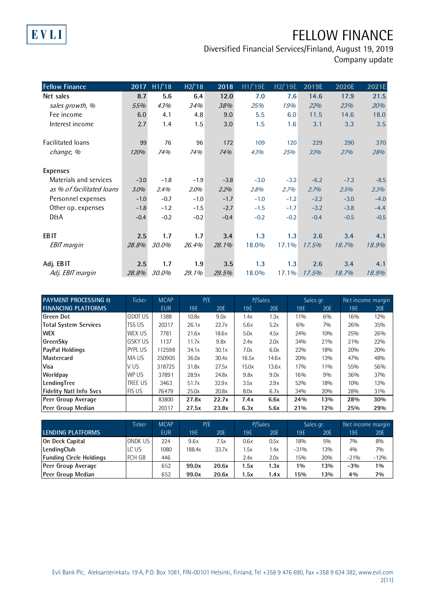# EVLI

# FELLOW FINANCE

| <b>Fellow Finance</b>     | 2017   | H1/18  | H2/18  | 2018   | H1/ <sup>T</sup> 19E | H2/19E | 2019E  | 2020E  | 2021E  |
|---------------------------|--------|--------|--------|--------|----------------------|--------|--------|--------|--------|
| Net sales                 | 8.7    | 5.6    | 6.4    | 12.0   | 7.0                  | 7.6    | 14.6   | 17.9   | 21.5   |
| sales growth, %           | 55%    | 43%    | 34%    | 38%    | 25%                  | 19%    | 22%    | 23%    | 20%    |
| Fee income                | 6.0    | 4.1    | 4.8    | 9.0    | 5.5                  | 6.0    | 11.5   | 14.6   | 18.0   |
| Interest income           | 2.7    | 1.4    | 1.5    | 3.0    | 1.5                  | 1.6    | 3.1    | 3.3    | 3.5    |
|                           |        |        |        |        |                      |        |        |        |        |
| Facilitated loans         | 99     | 76     | 96     | 172    | 109                  | 120    | 229    | 290    | 370    |
| change, %                 | 120%   | 74%    | 74%    | 74%    | 43%                  | 25%    | 33%    | 27%    | 28%    |
|                           |        |        |        |        |                      |        |        |        |        |
| <b>Expenses</b>           |        |        |        |        |                      |        |        |        |        |
| Materials and services    | $-3.0$ | $-1.8$ | $-1.9$ | $-3.8$ | $-3.0$               | $-3.2$ | $-6.2$ | $-7.3$ | $-8.5$ |
| as % of facilitated loans | 3.0%   | 2.4%   | 2.0%   | 2.2%   | 2.8%                 | 2.7%   | 2.7%   | 2.5%   | 2.3%   |
| Personnel expenses        | $-1.0$ | $-0.7$ | $-1.0$ | $-1.7$ | $-1.0$               | $-1.2$ | $-2.2$ | $-3.0$ | $-4.0$ |
| Other op. expenses        | $-1.8$ | $-1.2$ | $-1.5$ | $-2.7$ | $-1.5$               | $-1.7$ | $-3.2$ | $-3.8$ | $-4.4$ |
| <b>D&amp;A</b>            | $-0.4$ | $-0.2$ | $-0.2$ | $-0.4$ | $-0.2$               | $-0.2$ | $-0.4$ | $-0.5$ | $-0.5$ |
|                           |        |        |        |        |                      |        |        |        |        |
| <b>EBIT</b>               | 2.5    | 1.7    | 1.7    | 3.4    | 1.3                  | 1.3    | 2.6    | 3.4    | 4.1    |
| <b>EBIT</b> margin        | 28.8%  | 30.0%  | 26.4%  | 28.1%  | 18.0%                | 17.1%  | 17.5%  | 18.7%  | 18.9%  |
|                           |        |        |        |        |                      |        |        |        |        |
| Adj. EBIT                 | 2.5    | 1.7    | 1.9    | 3.5    | 1.3                  | 1.3    | 2.6    | 3.4    | 4.1    |
| Adj. EBIT margin          | 28.8%  | 30.0%  | 29.1%  | 29.5%  | 18.0%                | 17.1%  | 17.5%  | 18.7%  | 18.9%  |

| <b>PAYMENT PROCESSING &amp;</b> | <b>Ticker</b>  | <b>MCAP</b> | P/E   |       | P/Sales |       | Sales gr. |     | Net income margin |     |
|---------------------------------|----------------|-------------|-------|-------|---------|-------|-----------|-----|-------------------|-----|
| <b>FINANCING PLATFORMS</b>      |                | <b>EUR</b>  | 19E   | 20E   | 19E     | 20E   | 19E       | 20E | 19E               | 20E |
| Green Dot                       | <b>GDOT US</b> | 1388        | 10.8x | 9.0x  | 1.4x    | 1.3x  | 11%       | 6%  | 16%               | 12% |
| Total System Services           | ITSS US        | 20317       | 26.1x | 22.7x | 5.6x    | 5.2x  | 6%        | 7%  | 26%               | 35% |
| <b>WEX</b>                      | WEX US         | 7781        | 21.6x | 18.6x | 5.0x    | 4.5x  | 24%       | 10% | 25%               | 26% |
| GreenSky                        | <b>GSKY US</b> | 1137        | 11.7x | 9.8x  | 2.4x    | 2.0x  | 34%       | 21% | 21%               | 22% |
| PayPal Holdings                 | <b>PYPL US</b> | 112598      | 34.1x | 30.1x | 7.0x    | 6.0x  | 22%       | 18% | 20%               | 20% |
| Mastercard                      | <b>MAUS</b>    | 250905      | 36.0x | 30.4x | 16.5x   | 14.6x | 20%       | 13% | 47%               | 48% |
| <b>Visa</b>                     | V US           | 318725      | 31.8x | 27.5x | 15.0x   | 13.6x | 17%       | 11% | 55%               | 56% |
| Worldpay                        | WP US          | 37891       | 28.9x | 24.8x | 9.8x    | 9.0x  | 16%       | 9%  | 36%               | 37% |
| LendingTree                     | <b>TREE US</b> | 3463        | 51.7x | 32.9x | 3.5x    | 2.9x  | 52%       | 18% | 10%               | 12% |
| <b>Fidelity Natl Info Svcs</b>  | <b>FIS US</b>  | 76479       | 25.0x | 20.8x | 8.0x    | 6.7x  | 34%       | 20% | 28%               | 31% |
| Peer Group Average              |                | 83800       | 27.8x | 22.7x | 7.4x    | 6.6x  | 24%       | 13% | 28%               | 30% |
| Peer Group Median               |                | 20317       | 27.5x | 23.8x | 6.3x    | 5.6x  | 21%       | 12% | 25%               | 29% |

|                                | Ticker  | <b>MCAP</b> |        | P/E   |      | P/Sales    |        | Sales gr.  |        | Net income margin |  |
|--------------------------------|---------|-------------|--------|-------|------|------------|--------|------------|--------|-------------------|--|
| LENDING PLATFORMS              |         | <b>EUR</b>  | 19E    | 20E   | 19E  | <b>20E</b> | 19 E   | <b>20E</b> | 19E    | 20E               |  |
| On Deck Capital                | ONDK US | 224         | 9.6x   | 7.5x  | 0.6x | 0.5x       | 18%    | 5%         | 7%     | 8%                |  |
| LendingClub                    | LC US   | 1080        | 188.4x | 33.7x | 1.5x | l.4x       | $-31%$ | 13%        | 40/0   | 7%                |  |
| <b>Funding Circle Holdings</b> | IFCH GB | 446         |        |       | 2.4x | 2.0x       | 15%    | 20%        | $-21%$ | $-12%$            |  |
| Peer Group Average             |         | 652         | 99.0x  | 20.6x | 1.5x | 1.3x       | 10/0   | 13%        | $-3%$  | $1\%$             |  |
| <b>Peer Group Median</b>       |         | 652         | 99.0x  | 20.6x | 1.5x | 1.4x       | 15%    | 13%        | 4%     | 7%                |  |
|                                |         |             |        |       |      |            |        |            |        |                   |  |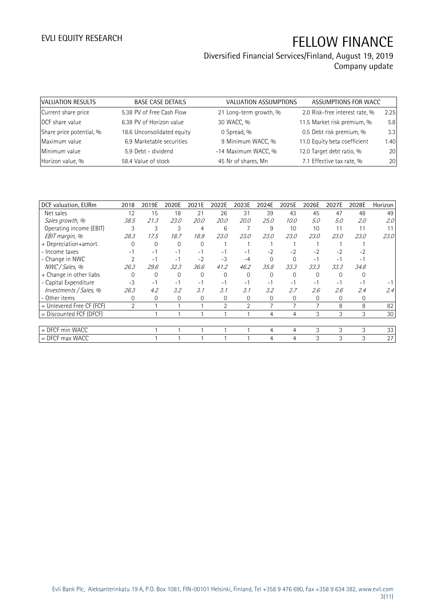| VALUATION RESULTS        | <b>BASE CASE DETAILS</b>   | VALUATION ASSUMPTIONS  | ASSUMPTIONS FOR WACC           |      |
|--------------------------|----------------------------|------------------------|--------------------------------|------|
| Current share price      | 5.38 PV of Free Cash Flow  | 21 Long-term growth, % | 2.0 Risk-free interest rate, % | 2.25 |
| DCF share value          | 6.38 PV of Horizon value   | 30 WACC, %             | 11.5 Market risk premium, %    | 5.8  |
| Share price potential, % | 18.6 Unconsolidated equity | 0 Spread, %            | 0.5 Debt risk premium, %       | 3.3  |
| Maximum value            | 6.9 Marketable securities  | 9 Minimum WACC, %      | 11.0 Equity beta coefficient   | 1.40 |
| Minimum value            | 5.9 Debt - dividend        | -14 Maximum WACC, %    | 12.0 Target debt ratio, %      | 20   |
| Horizon value, %         | 58.4 Value of stock        | 45 Nr of shares, Mn    | 7.1 Effective tax rate, %      | 20   |

| DCF valuation, EURm         | 2018           | 2019E    | 2020E    | 2021E    | 2022E          | 2023E          | 2024E    | 2025E    | 2026E    | 2027E    | 2028E | Horizon |
|-----------------------------|----------------|----------|----------|----------|----------------|----------------|----------|----------|----------|----------|-------|---------|
| Net sales                   | 12             | 15       | 18       | 21       | 26             | 31             | 39       | 43       | 45       | 47       | 48    | 49      |
| Sales growth, %             | 38.5           | 21.3     | 23.0     | 20.0     | 20.0           | <i>20.0</i>    | 25.0     | 10.0     | 5.0      | 5.0      | 2.0   | 2.0     |
| Operating income (EBIT)     | 3              | 3        | 3        | 4        | 6              |                | 9        | 10       | 10       | 11       | 11    | 11      |
| EBIT margin, %              | 28.3           | 17.5     | 18.7     | 18.9     | 23.0           | 23.0           | 23.0     | 23.0     | 23.0     | 23.0     | 23.0  | 23.0    |
| + Depreciation+amort.       |                | $\Omega$ | $\Omega$ | 0        |                |                |          |          |          |          |       |         |
| - Income taxes              | $-1$           | $-1$     | $-1$     | $-1$     | $-1$           | $-1$           | $-2$     | $-2$     | $-2$     | $-2$     | $-2$  |         |
| - Change in NWC             |                | $-1$     | $-1$     | $-2$     | $-3$           | $-4$           | $\Omega$ | $\Omega$ | $-1$     | $-1$     | -1    |         |
| NWC / Sales, %              | 26.3           | 29.6     | 32.3     | 36.6     | 41.2           | 46.2           | 35.8     | 33.3     | 33.3     | 33.3     | 34.8  |         |
| + Change in other liabs     |                | $\Omega$ | $\Omega$ | $\Omega$ | $\Omega$       | $\Omega$       | $\Omega$ | $\Omega$ | $\Omega$ | $\Omega$ |       |         |
| - Capital Expenditure       | $-3$           | $-1$     | $-1$     | $-1$     | $-1$           | $-1$           | $-1$     | $-1$     | $-1$     | $-1$     | - 1   |         |
| Investments / Sales, %      | 26.3           | 4.2      | 3.2      | 3.1      | 3.1            | 3.1            | 3.2      | 2.7      | 2.6      | 2.6      | 2.4   | 2.4     |
| - Other items               | $\Omega$       | 0        | $\Omega$ | $\Omega$ | $\Omega$       | $\Omega$       | $\Omega$ | $\Omega$ | $\Omega$ | $\Omega$ | 0     |         |
| $=$ Unlevered Free CF (FCF) | $\overline{2}$ |          |          |          | $\mathfrak{D}$ | $\overline{2}$ | 7        | 7        |          | 8        | 8     | 82      |
| $=$ Discounted FCF (DFCF)   |                |          |          |          |                |                | 4        | 4        | 3        | 3        | 3     | 30      |
|                             |                |          |          |          |                |                |          |          |          |          |       |         |
| $=$ DFCF min WACC           |                |          |          |          |                |                | 4        | 4        | 3        | 3        | 3     | 33      |
| $=$ DFCF max WACC           |                |          |          |          |                |                | 4        | 4        | 3        | 3        | 3     | 27      |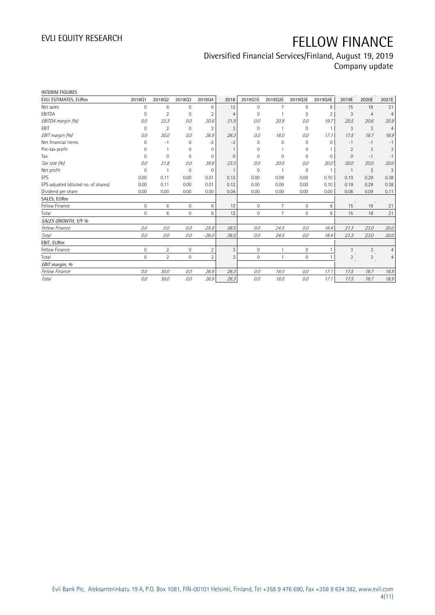| <b>INTERIM FIGURES</b>               |              |                 |                     |                |                |              |                |              |                |                |                |                |
|--------------------------------------|--------------|-----------------|---------------------|----------------|----------------|--------------|----------------|--------------|----------------|----------------|----------------|----------------|
| EVLI ESTIMATES, EURm                 | 201801       | 201802          | 201803              | 201804         | 2018           | 2019Q1E      | 2019Q2E        | 2019Q3E      | 2019Q4E        | 2019E          | 2020E          | 2021E          |
| Net sales                            | 0            | 6               | $\mathbf 0$         | 6              | 12             | $\mathbf 0$  | 7              | 0            | 8              | 15             | 18             | 21             |
| EBITDA                               | 0            | $\overline{2}$  | $\mathbf 0$         | $\overline{2}$ | $\overline{4}$ | $\Omega$     |                | 0            | $\overline{2}$ | 3              | $\overline{4}$ | $\overline{4}$ |
| EBITDA margin (%)                    | 0.0          | 33.3            | 0.0                 | 30.6           | 31.9           | 0.0          | 20.9           | 0.0          | 19.7           | 20.5           | 20.6           | 20.9           |
| EBIT                                 | $\Omega$     | $\overline{2}$  | $\mathbf{0}$        | $\overline{2}$ | 3              | $\Omega$     |                | 0            | $\mathbf{1}$   | 3              | 3              | $\overline{4}$ |
| EBIT margin (%)                      | 0.0          | 30.0            | 0.0                 | 26.9           | 28.3           | 0.0          | 18.0           | 0.0          | 17.1           | 17.5           | 18.7           | 18.9           |
| Net financial items                  | 0            | $-1$            | $\Omega$            | $-2$           | $-2$           | $\Omega$     | $\Omega$       | 0            | $\Omega$       | $-1$           | $-1$           | $-1$           |
| Pre-tax profit                       | O            |                 | 0                   | $\Omega$       |                | $\Omega$     |                | 0            |                | 2              | 3              | 3              |
| Tax                                  | 0            | $\mathbf{0}$    | $\mathbf 0$         | $\mathbf 0$    | $\mathbf 0$    | $\mathbf 0$  | $\Omega$       | 0            | $\Omega$       | $\mathbf{0}$   | $-1$           | $-1$           |
| Tax rate (%)                         | 0.0          | 21.8            | 0.0                 | 39.8           | 23.3           | 0.0          | 20.0           | 0.0          | 20.0           | 20.0           | 20.0           | 20.0           |
| Net profit                           | $\Omega$     |                 | $\mathbf 0$         | $\Omega$       |                | $\Omega$     |                | 0            | $\mathbf{1}$   | $\overline{1}$ | 2              | 3              |
| EPS                                  | 0.00         | 0.11            | 0.00                | 0.01           | 0.12           | 0.00         | 0.09           | 0.00         | 0.10           | 0.19           | 0.29           | 0.38           |
| EPS adjusted (diluted no. of shares) | 0.00         | 0.11            | 0.00                | 0.01           | 0.12           | 0.00         | 0.09           | 0.00         | 0.10           | 0.19           | 0.29           | 0.38           |
| Dividend per share                   | 0.00         | 0.00            | 0.00                | 0.00           | 0.04           | 0.00         | 0.00           | 0.00         | 0.00           | 0.06           | 0.09           | 0.11           |
| SALES, EURm                          |              |                 |                     |                |                |              |                |              |                |                |                |                |
| Fellow Finance                       | $\mathbf 0$  | 6               | $\mathsf{O}\xspace$ | 6              | 12             | $\mathbf{0}$ | $\overline{7}$ | 0            | 8              | 15             | 18             | 21             |
| Total                                | $\mathbf 0$  | $6\phantom{1}6$ | $\mathbf 0$         | 6              | 12             | $\mathbf{0}$ | $\overline{7}$ | $\mathbf 0$  | 8              | 15             | 18             | 21             |
| SALES GROWTH, Y/Y %                  |              |                 |                     |                |                |              |                |              |                |                |                |                |
| Fellow Finance                       | 0.0          | 0.0             | 0.0                 | $-25.9$        | 38.5           | 0.0          | 24.5           | 0.0          | 18.4           | 21.3           | 23.0           | 20.0           |
| Total                                | 0.0          | 0.0             | 0.0                 | $-26.0$        | 38.5           | 0.0          | 24.5           | 0.0          | 18.4           | 21.3           | 23.0           | 20.0           |
| EBIT, EURm                           |              |                 |                     |                |                |              |                |              |                |                |                |                |
| Fellow Finance                       | $\mathbf{0}$ | $\overline{2}$  | $\mathbf 0$         | $\overline{2}$ | 3              | $\mathbf{0}$ | $\mathbf{1}$   | $\mathbf{0}$ | $\mathbf{1}$   | 3              | 3              | $\overline{4}$ |
| Total                                | $\Omega$     | $\overline{2}$  | $\mathbf 0$         | $\overline{2}$ | 3              | $\Omega$     | $\mathbf{1}$   | 0            |                | 3              | 3              | $\overline{4}$ |
| EBIT margin, %                       |              |                 |                     |                |                |              |                |              |                |                |                |                |
| Fellow Finance                       | 0.0          | 30.0            | 0.0                 | 26.9           | 28.3           | 0.0          | 18.0           | 0.0          | 17.1           | 17.5           | 18.7           | 18.9           |
| Total                                | 0.0          | 30.0            | 0.0                 | 26.9           | 28.3           | 0.0          | 18.0           | 0.0          | 17.1           | 17.5           | 18.7           | 18.9           |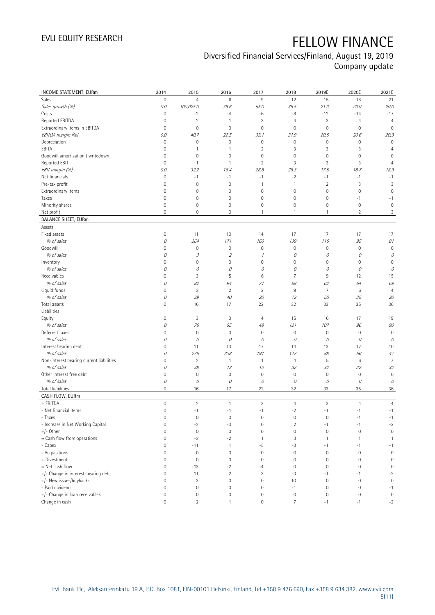## Diversified Financial Services/Finland, August 19, 2019

Company update

| INCOME STATEMENT, EURm                   | 2014                | 2015                                                                                                                                                                                                                                                                                                                                                                                                                                                      | 2016                | 2017                | 2018           | 2019E               | 2020E               | 2021E               |
|------------------------------------------|---------------------|-----------------------------------------------------------------------------------------------------------------------------------------------------------------------------------------------------------------------------------------------------------------------------------------------------------------------------------------------------------------------------------------------------------------------------------------------------------|---------------------|---------------------|----------------|---------------------|---------------------|---------------------|
| <b>Sales</b>                             | $\mathbb O$         | $\overline{4}$                                                                                                                                                                                                                                                                                                                                                                                                                                            | $\,6$               | $9\,$               | 12             | 15                  | 18                  | 21                  |
| Sales growth (%)                         | 0.0                 | 100,025.0                                                                                                                                                                                                                                                                                                                                                                                                                                                 | 39.6                | 55.0                | 38.5           | 21.3                | 23.0                | 20.0                |
| Costs                                    | $\mathsf{O}\xspace$ | $-2$                                                                                                                                                                                                                                                                                                                                                                                                                                                      | $-4$                | -6                  | -8             | $-12$               | $-14$               | $-17$               |
| Reported EBITDA                          | $\mathsf{O}\xspace$ | $\sqrt{2}$                                                                                                                                                                                                                                                                                                                                                                                                                                                | $\mathbf{1}$        | 3                   | $\overline{4}$ | 3                   | $\overline{4}$      | $\overline{4}$      |
| Extraordinary items in EBITDA            | $\mathbf 0$         | $\mathbf 0$                                                                                                                                                                                                                                                                                                                                                                                                                                               | $\mathbf 0$         | $\mathsf{O}\xspace$ | $\mathbf 0$    | $\mathsf{O}\xspace$ | $\mathbf 0$         | $\mathbf 0$         |
| EBITDA margin (%)                        | 0.0                 | 40.7                                                                                                                                                                                                                                                                                                                                                                                                                                                      | 22.5                | 33.1                | 31.9           | 20.5                | 20.6                | 20.9                |
| Depreciation                             | $\mathbf 0$         | $\mathbf 0$                                                                                                                                                                                                                                                                                                                                                                                                                                               | $\mathbf 0$         | $\mathsf{O}\xspace$ | $\mathbf 0$    | $\mathsf{O}\xspace$ | $\mathbf 0$         | $\mathbf 0$         |
| EBITA                                    | $\mathbf 0$         | 1                                                                                                                                                                                                                                                                                                                                                                                                                                                         | $\mathbf{1}$        | $\sqrt{2}$          | $\sqrt{3}$     | 3                   | 3                   | $\overline{4}$      |
| Goodwill amortization / writedown        | $\mathbf 0$         | $\mathbf 0$                                                                                                                                                                                                                                                                                                                                                                                                                                               | $\mathbf 0$         | $\mathsf{O}\xspace$ | $\mathbf 0$    | 0                   | $\mathbf 0$         | 0                   |
| Reported EBIT                            | $\mathbf 0$         | $\mathbf{1}$                                                                                                                                                                                                                                                                                                                                                                                                                                              | $\mathbf{1}$        | $\sqrt{2}$          | 3              | 3                   | $\sqrt{3}$          | $\overline{4}$      |
| EBIT margin (%)                          | 0.0                 | 32.2                                                                                                                                                                                                                                                                                                                                                                                                                                                      | 16.4                | 28.8                | 28.3           | 17.5                | 18.7                | 18.9                |
| Net financials                           | $\mathbb O$         | $-1$                                                                                                                                                                                                                                                                                                                                                                                                                                                      | $-1$                | $-1$                | $-2$           | $-1$                | $-1$                | $-1$                |
| Pre-tax profit                           | $\mathsf{O}\xspace$ | $\mathbf 0$                                                                                                                                                                                                                                                                                                                                                                                                                                               | $\mathsf{O}\xspace$ | $\overline{1}$      | $\overline{1}$ | $\overline{2}$      | 3                   | 3                   |
| Extraordinary items                      | $\mathsf{O}\xspace$ | $\mathbf 0$                                                                                                                                                                                                                                                                                                                                                                                                                                               | $\mathsf{O}\xspace$ | $\mathsf{O}\xspace$ | $\mathbf 0$    | $\mathsf{O}\xspace$ | $\mathbf 0$         | $\mathbf 0$         |
| Taxes                                    | $\mathbf 0$         | 0                                                                                                                                                                                                                                                                                                                                                                                                                                                         | $\mathsf{O}\xspace$ | $\mathsf{O}\xspace$ | $\mathbf 0$    | 0                   | $-1$                | $-1$                |
| Minority shares                          | $\mathsf{O}\xspace$ | $\mathbf 0$                                                                                                                                                                                                                                                                                                                                                                                                                                               | $\mathsf{O}\xspace$ | $\mathsf{O}\xspace$ | $\mathbf 0$    | 0                   | $\mathbf 0$         | $\mathbf 0$         |
| Net profit                               | $\overline{0}$      | 0                                                                                                                                                                                                                                                                                                                                                                                                                                                         | $\mathsf{O}\xspace$ | 1                   | $\mathbf{1}$   | $\mathbf{1}$        | $\overline{c}$      | 3                   |
| <b>BALANCE SHEET, EURm</b>               |                     |                                                                                                                                                                                                                                                                                                                                                                                                                                                           |                     |                     |                |                     |                     |                     |
| Assets                                   |                     |                                                                                                                                                                                                                                                                                                                                                                                                                                                           |                     |                     |                |                     |                     |                     |
| Fixed assets                             | $\mathbf 0$         | 11                                                                                                                                                                                                                                                                                                                                                                                                                                                        | 10                  | 14                  | 17             | 17                  | 17                  | 17                  |
| % of sales                               | О                   | 264                                                                                                                                                                                                                                                                                                                                                                                                                                                       | 171                 | 160                 | 139            | 116                 | 95                  | 81                  |
| Goodwill                                 | $\mathsf{O}\xspace$ | $\mathbf 0$                                                                                                                                                                                                                                                                                                                                                                                                                                               | 0                   | $\mathsf{O}\xspace$ | $\mathbf 0$    | $\mathsf{O}\xspace$ | $\mathbf 0$         | $\mathbf 0$         |
| % of sales                               | 0                   | $\mathcal{J}% _{G}=\mathcal{J}_{G}=\mathcal{J}_{G}=\mathcal{J}_{G}=\mathcal{J}_{G}=\mathcal{J}_{G}=\mathcal{J}_{G}=\mathcal{J}_{G}=\mathcal{J}_{G}=\mathcal{J}_{G}=\mathcal{J}_{G}=\mathcal{J}_{G}=\mathcal{J}_{G}=\mathcal{J}_{G}=\mathcal{J}_{G}=\mathcal{J}_{G}=\mathcal{J}_{G}=\mathcal{J}_{G}=\mathcal{J}_{G}=\mathcal{J}_{G}=\mathcal{J}_{G}=\mathcal{J}_{G}=\mathcal{J}_{G}=\mathcal{J}_{G}=\mathcal{J}_{G}=\mathcal{J}_{G}=\mathcal{J}_{G}=\math$ | $\sqrt{2}$          | $\mathcal I$        | 0              | 0                   | 0                   | 0                   |
| Inventory                                | $\mathsf{O}\xspace$ | $\mathbf 0$                                                                                                                                                                                                                                                                                                                                                                                                                                               | $\mathsf{O}\xspace$ | $\mathsf{O}\xspace$ | $\mathbf 0$    | 0                   | $\mathbf 0$         | $\mathbf 0$         |
| % of sales                               | 0                   | 0                                                                                                                                                                                                                                                                                                                                                                                                                                                         | 0                   | 0                   | 0              | 0                   | $\mathcal O$        | 0                   |
| Receivables                              | 0                   | 3                                                                                                                                                                                                                                                                                                                                                                                                                                                         | 5                   | 6                   | $\overline{7}$ | 9                   | 12                  | 15                  |
| % of sales                               | 0                   | 82                                                                                                                                                                                                                                                                                                                                                                                                                                                        | 94                  | 71                  | 58             | 62                  | 64                  | 69                  |
| Liquid funds                             | $\mathsf{O}\xspace$ | $\sqrt{2}$                                                                                                                                                                                                                                                                                                                                                                                                                                                | $\overline{2}$      | $\sqrt{2}$          | $\,9$          | $\overline{7}$      | 6                   | $\overline{4}$      |
| % of sales                               | 0                   | 39                                                                                                                                                                                                                                                                                                                                                                                                                                                        | 40                  | 20                  | 72             | 50                  | 35                  | 20                  |
| Total assets                             | $\overline{0}$      | 16                                                                                                                                                                                                                                                                                                                                                                                                                                                        | 17                  | 22                  | 32             | 33                  | 35                  | 36                  |
| Liabilities                              |                     |                                                                                                                                                                                                                                                                                                                                                                                                                                                           |                     |                     |                |                     |                     |                     |
| Equity                                   | $\mathsf{O}\xspace$ | 3                                                                                                                                                                                                                                                                                                                                                                                                                                                         | 3                   | $\overline{4}$      | 15             | 16                  | 17                  | 19                  |
| % of sales                               | 0                   | 76                                                                                                                                                                                                                                                                                                                                                                                                                                                        | 55                  | 48                  | 121            | 107                 | 96                  | 90                  |
| Deferred taxes                           | $\mathsf{O}\xspace$ | $\mathbf 0$                                                                                                                                                                                                                                                                                                                                                                                                                                               | $\mathsf{O}\xspace$ | $\mathsf{O}\xspace$ | $\mathbf 0$    | $\mathsf{O}\xspace$ | $\mathbf 0$         | $\mathbf 0$         |
| % of sales                               | 0                   | $\mathcal O$                                                                                                                                                                                                                                                                                                                                                                                                                                              | 0                   | 0                   | 0              | 0                   | 0                   | 0                   |
| Interest bearing debt                    | $\mathsf{O}\xspace$ | 11                                                                                                                                                                                                                                                                                                                                                                                                                                                        | 13                  | 17                  | 14             | 13                  | 12                  | 10                  |
| % of sales                               | 0                   | 276                                                                                                                                                                                                                                                                                                                                                                                                                                                       | 238                 | 191                 | 117            | 88                  | 66                  | 47                  |
| Non-interest bearing current liabilities | $\mathsf{O}\xspace$ | $\overline{2}$                                                                                                                                                                                                                                                                                                                                                                                                                                            | $\mathbf{1}$        | $\mathbf{1}$        | $\overline{4}$ | 5                   | 6                   | 7                   |
| % of sales                               | 0                   | 38                                                                                                                                                                                                                                                                                                                                                                                                                                                        | 12                  | 13                  | 32             | 32                  | 32                  | 32                  |
| Other interest free debt                 | $\mathsf{O}\xspace$ | $\mathbf 0$                                                                                                                                                                                                                                                                                                                                                                                                                                               | $\mathsf{O}\xspace$ | $\mathsf{O}\xspace$ | $\mathbf 0$    | $\mathsf{O}\xspace$ | $\mathbf 0$         | $\mathbf 0$         |
| % of sales                               | 0                   | 0                                                                                                                                                                                                                                                                                                                                                                                                                                                         | 0                   | 0                   | 0              | 0                   | 0                   | 0                   |
| <b>Total liabilities</b>                 | $\mathsf{O}\xspace$ | 16                                                                                                                                                                                                                                                                                                                                                                                                                                                        | 17                  | 22                  | 32             | 33                  | 35                  | $36\,$              |
| CASH FLOW, EURm                          |                     |                                                                                                                                                                                                                                                                                                                                                                                                                                                           |                     |                     |                |                     |                     |                     |
| + EBITDA                                 | $\mathbb O$         | $\overline{2}$                                                                                                                                                                                                                                                                                                                                                                                                                                            | $\mathbf{1}$        | 3                   | $\overline{4}$ | 3                   | $\overline{4}$      | $\overline{4}$      |
| - Net financial items                    | $\mathbb O$         | $-1$                                                                                                                                                                                                                                                                                                                                                                                                                                                      | $-1$                | $-1$                | $-2$           | $-1$                | $-1$                | $-1$                |
| - Taxes                                  | 0                   | 0                                                                                                                                                                                                                                                                                                                                                                                                                                                         | 0                   | 0                   | $\mathbf 0$    | 0                   | $-1$                | $-1$                |
| - Increase in Net Working Capital        | $\mathsf{O}\xspace$ | $-2$                                                                                                                                                                                                                                                                                                                                                                                                                                                      | $-3$                | $\mathbb O$         | $\sqrt{2}$     | $-1$                | $-1$                | $-2$                |
| $+/-$ Other                              | $\mathbb O$         | $\mathbf 0$                                                                                                                                                                                                                                                                                                                                                                                                                                               | $\mathsf{O}\xspace$ | $\mathsf{O}\xspace$ | $\mathbf 0$    | $\mathsf{O}\xspace$ | $\mathbf 0$         | $\mathbf 0$         |
| = Cash flow from operations              | $\mathsf{O}\xspace$ | $-2$                                                                                                                                                                                                                                                                                                                                                                                                                                                      | $-2$                | $\mathbf{1}$        | 3              | $\mathbf{1}$        | $\mathbf{1}$        | $\overline{1}$      |
| - Capex                                  | $\mathsf{O}\xspace$ | $-11$                                                                                                                                                                                                                                                                                                                                                                                                                                                     | $\mathbf{1}$        | $-5$                | $-3$           | $-1$                | $-1$                | $-1$                |
| - Acquisitions                           | $\mathsf{O}\xspace$ | $\mathbf 0$                                                                                                                                                                                                                                                                                                                                                                                                                                               | $\mathsf{O}\xspace$ | $\mathbb O$         | $\mathbf 0$    | $\mathbf 0$         | $\mathbf 0$         | $\mathsf{O}\xspace$ |
| + Divestments                            | $\mathsf{O}\xspace$ | $\mathbf 0$                                                                                                                                                                                                                                                                                                                                                                                                                                               | $\mathsf{O}\xspace$ | $\mathsf{O}\xspace$ | $\mathbf 0$    | $\mathsf{O}\xspace$ | $\mathbf 0$         | $\mathbf 0$         |
| = Net cash flow                          | 0                   | $-13$                                                                                                                                                                                                                                                                                                                                                                                                                                                     | $-2$                | $-4$                | $\mathbf 0$    | $\mathsf{O}\xspace$ | $\mathbf 0$         | $\mathbb O$         |
| +/- Change in interest-bearing debt      | 0                   | 11                                                                                                                                                                                                                                                                                                                                                                                                                                                        | $\overline{2}$      | 3                   | -3             | $-1$                | $-1$                | $-2$                |
| +/- New issues/buybacks                  | 0                   | $\sqrt{3}$                                                                                                                                                                                                                                                                                                                                                                                                                                                | $\mathsf{O}\xspace$ | $\mathsf{O}\xspace$ | 10             | $\mathbf 0$         | $\mathbf 0$         | $\mathsf{O}\xspace$ |
| - Paid dividend                          | $\mathsf{O}\xspace$ | $\mathbf 0$                                                                                                                                                                                                                                                                                                                                                                                                                                               | 0                   | $\mathsf{O}\xspace$ | $-1$           | $\mathsf{O}\xspace$ | $\mathbf 0$         | $-1$                |
| +/- Change in loan receivables           | $\mathsf{O}\xspace$ | $\mathbb O$                                                                                                                                                                                                                                                                                                                                                                                                                                               | $\mathsf{O}\xspace$ | $\mathsf{O}\xspace$ | $\mathbb O$    | $\mathsf{O}\xspace$ | $\mathsf{O}\xspace$ | $\mathsf{O}\xspace$ |
| Change in cash                           | $\mathsf{O}\xspace$ | $\overline{2}$                                                                                                                                                                                                                                                                                                                                                                                                                                            | $\mathbf{1}$        | $\mathsf{O}\xspace$ | $\overline{7}$ | $-1$                | $-1$                | $-2$                |
|                                          |                     |                                                                                                                                                                                                                                                                                                                                                                                                                                                           |                     |                     |                |                     |                     |                     |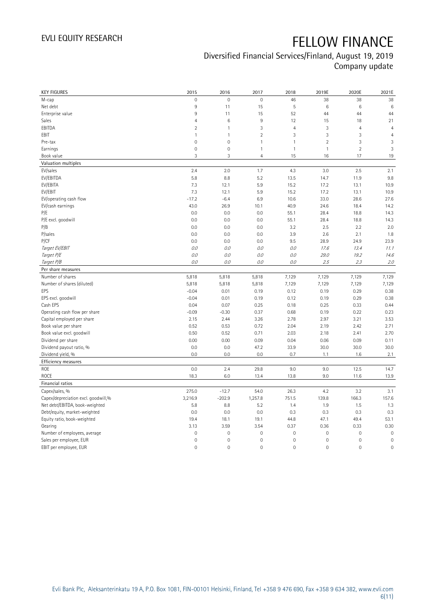| <b>KEY FIGURES</b>                  | 2015                | 2016                | 2017                | 2018           | 2019E               | 2020E               | 2021E          |
|-------------------------------------|---------------------|---------------------|---------------------|----------------|---------------------|---------------------|----------------|
| M-cap                               | $\mathsf{O}\xspace$ | $\mathbf 0$         | $\mathsf{O}\xspace$ | 46             | 38                  | 38                  | 38             |
| Net debt                            | 9                   | 11                  | 15                  | 5              | $\,6\,$             | 6                   | 6              |
| Enterprise value                    | $\overline{9}$      | 11                  | 15                  | 52             | 44                  | 44                  | 44             |
| Sales                               | $\overline{4}$      | $6\phantom{1}6$     | $9\,$               | 12             | 15                  | 18                  | 21             |
| EBITDA                              | $\overline{2}$      | $\overline{1}$      | 3                   | $\overline{4}$ | 3                   | $\overline{4}$      | $\overline{4}$ |
| EBIT                                | 1                   | $\mathbf{1}$        | $\overline{2}$      | 3              | $\sqrt{3}$          | 3                   | $\overline{4}$ |
| Pre-tax                             | $\mathbf 0$         | $\mathbf 0$         | $\mathbf{1}$        | $\mathbf{1}$   | $\overline{2}$      | 3                   | 3              |
| Earnings                            | $\mathbf 0$         | $\mathsf{O}\xspace$ | $\mathbf{1}$        | $\mathbf{1}$   | $\mathbf{1}$        | $\overline{c}$      | 3              |
| Book value                          | 3                   | 3                   | $\overline{4}$      | 15             | 16                  | 17                  | 19             |
| Valuation multiples                 |                     |                     |                     |                |                     |                     |                |
| EV/sales                            | 2.4                 | 2.0                 | 1.7                 | 4.3            | 3.0                 | 2.5                 | 2.1            |
| EV/EBITDA                           | 5.8                 | 8.8                 | 5.2                 | 13.5           | 14.7                | 11.9                | 9.8            |
| EV/EBITA                            | 7.3                 | 12.1                | 5.9                 | 15.2           | 17.2                | 13.1                | 10.9           |
| EV/EBIT                             | 7.3                 | 12.1                | 5.9                 | 15.2           | 17.2                | 13.1                | 10.9           |
| EV/operating cash flow              | $-17.2$             | $-6.4$              | 6.9                 | 10.6           | 33.0                | 28.6                | 27.6           |
| EV/cash earnings                    | 43.0                | 26.9                | 10.1                | 40.9           | 24.6                | 18.4                | 14.2           |
| P/E                                 | 0.0                 | 0.0                 | 0.0                 | 55.1           | 28.4                | 18.8                | 14.3           |
| P/E excl. goodwill                  | 0.0                 | 0.0                 | 0.0                 | 55.1           | 28.4                | 18.8                | 14.3           |
| P/B                                 | 0.0                 | 0.0                 | 0.0                 | 3.2            | 2.5                 | 2.2                 | 2.0            |
| P/sales                             | 0.0                 | 0.0                 | 0.0                 | 3.9            | 2.6                 | 2.1                 | 1.8            |
| P/CF                                | 0.0                 | 0.0                 | 0.0                 | 9.5            | 28.9                | 24.9                | 23.9           |
| Target EV/EBIT                      | 0.0                 | 0.0                 | 0.0                 | O.O            | 17.6                | 13.4                | 11.1           |
| Target P/E                          | O.O                 | 0.0                 | 0.0                 | 0.0            | 29.0                | 19.2                | 14.6           |
| Target P/B                          | 0.0                 | 0.0                 | 0.0                 | 0.0            | 2.5                 | 2.3                 | 2.0            |
| Per share measures                  |                     |                     |                     |                |                     |                     |                |
| Number of shares                    | 5,818               | 5,818               | 5,818               | 7,129          | 7,129               | 7,129               | 7,129          |
| Number of shares (diluted)          | 5,818               | 5,818               | 5,818               | 7,129          | 7,129               | 7,129               | 7,129          |
| EPS                                 | $-0.04$             | 0.01                | 0.19                | 0.12           | 0.19                | 0.29                | 0.38           |
| EPS excl. goodwill                  | $-0.04$             | 0.01                | 0.19                | 0.12           | 0.19                | 0.29                | 0.38           |
| Cash EPS                            | 0.04                | 0.07                | 0.25                | 0.18           | 0.25                | 0.33                | 0.44           |
| Operating cash flow per share       | $-0.09$             | $-0.30$             | 0.37                | 0.68           | 0.19                | 0.22                | 0.23           |
| Capital employed per share          | 2.15                | 2.44                | 3.26                | 2.78           | 2.97                | 3.21                | 3.53           |
| Book value per share                | 0.52                | 0.53                | 0.72                | 2.04           | 2.19                | 2.42                | 2.71           |
| Book value excl. goodwill           | 0.50                | 0.52                | 0.71                | 2.03           | 2.18                | 2.41                | 2.70           |
| Dividend per share                  | 0.00                | 0.00                | 0.09                | 0.04           | 0.06                | 0.09                | 0.11           |
| Dividend payout ratio, %            | 0.0                 | 0.0                 | 47.2                | 33.9           | 30.0                | 30.0                | 30.0           |
| Dividend yield, %                   | 0.0                 | 0.0                 | 0.0                 | 0.7            | 1.1                 | 1.6                 | 2.1            |
| Efficiency measures                 |                     |                     |                     |                |                     |                     |                |
| ROE                                 | 0.0                 | 2.4                 | 29.8                | 9.0            | 9.0                 | 12.5                | 14.7           |
| ROCE                                | 18.3                | 6.0                 | 13.4                | 13.8           | 9.0                 | 11.6                | 13.9           |
| Financial ratios                    |                     |                     |                     |                |                     |                     |                |
| Capex/sales, %                      | 275.0               | $-12.7$             | 54.0                | 26.3           | 4.2                 | 3.2                 | 3.1            |
| Capex/depreciation excl. goodwill,% | 3,216.9             | $-202.9$            | 1,257.8             | 751.5          | 139.8               | 166.3               | 157.6          |
| Net debt/EBITDA, book-weighted      | 5.8                 | 8.8                 | 5.2                 | 1.4            | 1.9                 | 1.5                 | 1.3            |
| Debt/equity, market-weighted        | 0.0                 | 0.0                 | 0.0                 | 0.3            | 0.3                 | 0.3                 | 0.3            |
| Equity ratio, book-weighted         | 19.4                | 18.1                | 19.1                | 44.8           | 47.1                | 49.4                | 53.1           |
| Gearing                             | 3.13                | 3.59                | 3.54                | 0.37           | 0.36                | 0.33                | 0.30           |
| Number of employees, average        | $\mathbb O$         | $\mathbb O$         | $\mathsf{O}\xspace$ | $\mathbb O$    | $\mathsf{O}\xspace$ | $\mathbf 0$         | $\mathbf 0$    |
| Sales per employee, EUR             | $\mathbf 0$         | $\mathbf 0$         | $\mathbf 0$         | $\mathbf 0$    | $\mathsf{O}\xspace$ | 0                   | $\mathbf 0$    |
| EBIT per employee, EUR              | $\overline{0}$      | $\mathbf 0$         | $\overline{0}$      | $\mathbf 0$    | $\mathbb O$         | $\mathsf{O}\xspace$ | $\mathbf 0$    |
|                                     |                     |                     |                     |                |                     |                     |                |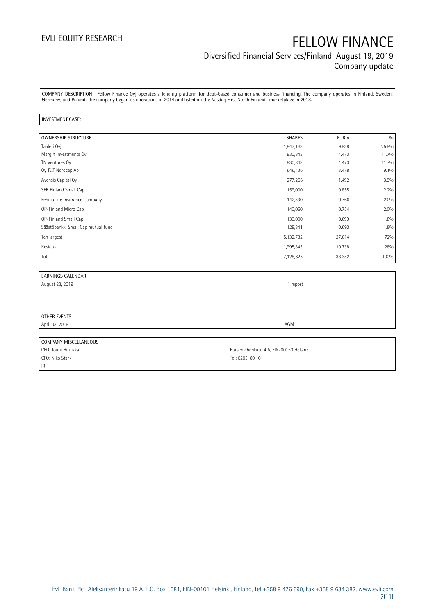#### Diversified Financial Services/Finland, August 19, 2019 Company update

COMPANY DESCRIPTION: Fellow Finance Oyj operates a lending platform for debt-based consumer and business financing. The company operates in Finland, Sweden, Germany, and Poland. The company began its operations in 2014 and listed on the Nasdaq First North Finland -marketplace in 2018.

#### INVESTMENT CASE:

| <b>OWNERSHIP STRUCTURE</b>         | <b>SHARES</b> | <b>EURm</b> | 0/0     |
|------------------------------------|---------------|-------------|---------|
| Taaleri Oyj                        | 1,847,163     | 9.938       | 25.9%   |
| Margin Investments Oy              | 830,843       | 4.470       | 11.7%   |
| TN Ventures Oy                     | 830,843       | 4.470       | 11.7%   |
| Oy T&T Nordcap Ab                  | 646,436       | 3.478       | $9.1\%$ |
| Avensis Capital Oy                 | 277,266       | 1.492       | 3.9%    |
| SEB Finland Small Cap              | 159,000       | 0.855       | 2.2%    |
| Fennia Life Insurance Company      | 142,330       | 0.766       | 2.0%    |
| OP-Finland Micro Cap               | 140,060       | 0.754       | 2.0%    |
| OP-Finland Small Cap               | 130,000       | 0.699       | 1.8%    |
| Säästöpankki Small Cap mutual fund | 128,841       | 0.693       | 1.8%    |
| Ten largest                        | 5,132,782     | 27.614      | 72%     |
| Residual                           | 1,995,843     | 10.738      | 28%     |
| Total                              | 7,128,625     | 38.352      | 100%    |

| <b>EARNINGS CALENDAR</b> |                                         |
|--------------------------|-----------------------------------------|
| August 23, 2019          | H1 report                               |
|                          |                                         |
|                          |                                         |
|                          |                                         |
| OTHER EVENTS             |                                         |
| April 03, 2019           | AGM                                     |
|                          |                                         |
| COMPANY MISCELLANEOUS    |                                         |
| CEO: Jouni Hintikka      | Pursimiehenkatu 4 A, FIN-00150 Helsinki |

IR:

CFO: Niko Stark Tel: 0203, 80,101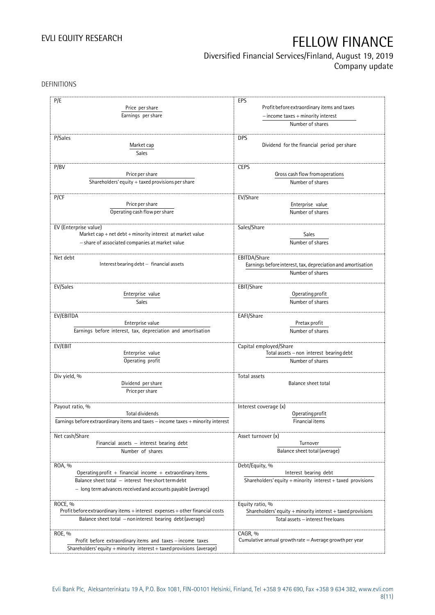#### Diversified Financial Services/Finland, August 19, 2019 Company update

DEFINITIONS

| P/E                                                                              | EPS                                                             |  |  |
|----------------------------------------------------------------------------------|-----------------------------------------------------------------|--|--|
| Price per share                                                                  | Profit before extraordinary items and taxes                     |  |  |
|                                                                                  | $-$ income taxes $+$ minority interest                          |  |  |
| Earnings per share                                                               |                                                                 |  |  |
|                                                                                  | Number of shares                                                |  |  |
|                                                                                  |                                                                 |  |  |
| P/Sales                                                                          | <b>DPS</b>                                                      |  |  |
| Market cap                                                                       | Dividend for the financial period per share                     |  |  |
| Sales                                                                            |                                                                 |  |  |
|                                                                                  |                                                                 |  |  |
| P/BV<br>Price per share                                                          | <b>CEPS</b><br>Gross cash flow from operations                  |  |  |
|                                                                                  |                                                                 |  |  |
| Shareholders' equity $+$ taxed provisions per share                              | Number of shares                                                |  |  |
| P/CF                                                                             |                                                                 |  |  |
| Price per share                                                                  | EV/Share<br>Enterprise value                                    |  |  |
|                                                                                  |                                                                 |  |  |
| Operating cash flow per share                                                    | Number of shares                                                |  |  |
|                                                                                  |                                                                 |  |  |
| EV (Enterprise value)                                                            | Sales/Share<br>Sales                                            |  |  |
| Market cap + net debt + minority interest at market value                        |                                                                 |  |  |
| - share of associated companies at market value                                  | Number of shares                                                |  |  |
|                                                                                  |                                                                 |  |  |
| Net debt<br>Interest bearing debt - financial assets                             | EBITDA/Share                                                    |  |  |
|                                                                                  | Earnings before interest, tax, depreciation and amortisation    |  |  |
|                                                                                  | Number of shares                                                |  |  |
| EV/Sales                                                                         | EBIT/Share                                                      |  |  |
| Enterprise value                                                                 | Operating profit                                                |  |  |
|                                                                                  |                                                                 |  |  |
| Sales                                                                            | Number of shares                                                |  |  |
| EV/EBITDA                                                                        | EAFI/Share                                                      |  |  |
| Enterprise value                                                                 | Pretax profit                                                   |  |  |
| Earnings before interest, tax, depreciation and amortisation                     | Number of shares                                                |  |  |
|                                                                                  |                                                                 |  |  |
| EV/EBIT                                                                          | Capital employed/Share                                          |  |  |
| Enterprise value                                                                 | Total assets - non interest bearing debt                        |  |  |
| Operating profit                                                                 | Number of shares                                                |  |  |
|                                                                                  |                                                                 |  |  |
| Div yield, %                                                                     | Total assets                                                    |  |  |
| Dividend per share                                                               | <b>Balance sheet total</b>                                      |  |  |
| Price per share                                                                  |                                                                 |  |  |
|                                                                                  |                                                                 |  |  |
| Payout ratio, %                                                                  | Interest coverage (x)                                           |  |  |
| Total dividends                                                                  | Operating profit                                                |  |  |
| Earnings before extraordinary items and taxes - income taxes + minority interest | Financial items                                                 |  |  |
|                                                                                  |                                                                 |  |  |
| Net cash/Share                                                                   | Asset turnover (x)                                              |  |  |
| Financial assets $-$ interest bearing debt                                       | Turnover                                                        |  |  |
| Number of shares                                                                 | Balance sheet total (average)                                   |  |  |
|                                                                                  |                                                                 |  |  |
| ROA, %                                                                           | Debt/Equity, %                                                  |  |  |
| Operating profit + financial income + extraordinary items                        | Interest bearing debt                                           |  |  |
| Balance sheet total - interest free short term debt                              | Shareholders' equity + minority interest + taxed provisions     |  |  |
| - long term advances received and accounts payable (average)                     |                                                                 |  |  |
|                                                                                  |                                                                 |  |  |
| ROCE, %                                                                          | Equity ratio, %                                                 |  |  |
| Profit before extraordinary items + interest expenses + other financial costs    | Shareholders' equity $+$ minority interest $+$ taxed provisions |  |  |
| Balance sheet total - non interest bearing debt (average)                        | Total assets - interest free loans                              |  |  |
|                                                                                  |                                                                 |  |  |
| ROE, %                                                                           | CAGR, %                                                         |  |  |
| Profit before extraordinary items and taxes - income taxes                       | Cumulative annual growth rate $=$ Average growth per year       |  |  |
| Shareholders' equity + minority interest + taxed provisions (average)            |                                                                 |  |  |
|                                                                                  |                                                                 |  |  |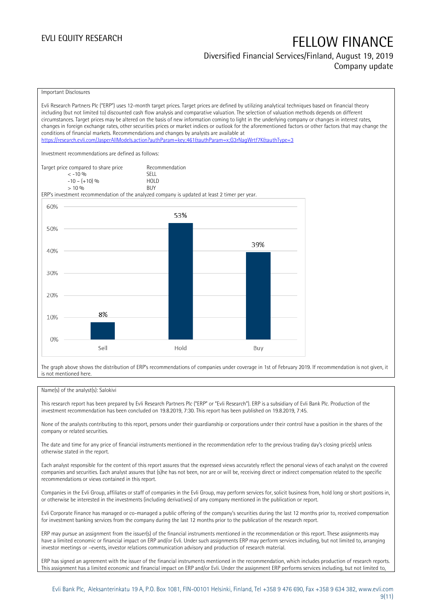#### Diversified Financial Services/Finland, August 19, 2019 Company update

#### Important Disclosures

Evli Research Partners Plc ("ERP") uses 12-month target prices. Target prices are defined by utilizing analytical techniques based on financial theory including (but not limited to) discounted cash flow analysis and comparative valuation. The selection of valuation methods depends on different circumstances. Target prices may be altered on the basis of new information coming to light in the underlying company or changes in interest rates, changes in foreign exchange rates, other securities prices or market indices or outlook for the aforementioned factors or other factors that may change the conditions of financial markets. Recommendations and changes by analysts are available at <https://research.evli.com/JasperAllModels.action?authParam=key;461&authParam=x;G3rNagWrtf7K&authType=3> Investment recommendations are defined as follows: Target price compared to share price Recommendation<br>  $\leq 10\%$  $\langle 5, 10, 10 \rangle$  SELL<br> $\langle -10, 10, 10 \rangle$  SELL  $-10 - (+10) \%$  HOL<br>  $> 10 \%$  RIJY  $> 10\%$ ERP's investment recommendation of the analyzed company is updated at least 2 timer per year. 60% 53% 50% 39% 40% 30% 20% 8% 10%  $0%$ Sell Hold Buy

The graph above shows the distribution of ERP's recommendations of companies under coverage in 1st of February 2019. If recommendation is not given, it is not mentioned here.

#### Name(s) of the analyst(s): Salokivi

This research report has been prepared by Evli Research Partners Plc ("ERP" or "Evli Research"). ERP is a subsidiary of Evli Bank Plc. Production of the investment recommendation has been concluded on 19.8.2019, 7:30. This report has been published on 19.8.2019, 7:45.

None of the analysts contributing to this report, persons under their guardianship or corporations under their control have a position in the shares of the company or related securities.

The date and time for any price of financial instruments mentioned in the recommendation refer to the previous trading day's closing price(s) unless otherwise stated in the report.

Each analyst responsible for the content of this report assures that the expressed views accurately reflect the personal views of each analyst on the covered companies and securities. Each analyst assures that (s)he has not been, nor are or will be, receiving direct or indirect compensation related to the specific recommendations or views contained in this report.

Companies in the Evli Group, affiliates or staff of companies in the Evli Group, may perform services for, solicit business from, hold long or short positions in, or otherwise be interested in the investments (including derivatives) of any company mentioned in the publication or report.

Evli Corporate Finance has managed or co-managed a public offering of the company's securities during the last 12 months prior to, received compensation for investment banking services from the company during the last 12 months prior to the publication of the research report.

ERP may pursue an assignment from the issuer(s) of the financial instruments mentioned in the recommendation or this report. These assignments may have a limited economic or financial impact on ERP and/or Evli. Under such assignments ERP may perform services including, but not limited to, arranging investor meetings or –events, investor relations communication advisory and production of research material.

ERP has signed an agreement with the issuer of the financial instruments mentioned in the recommendation, which includes production of research reports. This assignment has a limited economic and financial impact on ERP and/or Evli. Under the assignment ERP performs services including, but not limited to,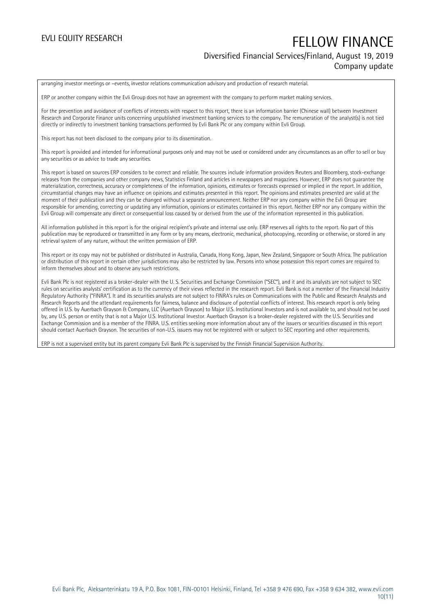## EVLI EQUITY RESEARCH FELLOW FINANCE Diversified Financial Services/Finland, August 19, 2019 Company update

arranging investor meetings or –events, investor relations communication advisory and production of research material.

ERP or another company within the Evli Group does not have an agreement with the company to perform market making services.

For the prevention and avoidance of conflicts of interests with respect to this report, there is an information barrier (Chinese wall) between Investment Research and Corporate Finance units concerning unpublished investment banking services to the company. The remuneration of the analyst(s) is not tied directly or indirectly to investment banking transactions performed by Evli Bank Plc or any company within Evli Group.

This report has not been disclosed to the company prior to its dissemination.

This report is provided and intended for informational purposes only and may not be used or considered under any circumstances as an offer to sell or buy any securities or as advice to trade any securities.

This report is based on sources ERP considers to be correct and reliable. The sources include information providers Reuters and Bloomberg, stock-exchange releases from the companies and other company news, Statistics Finland and articles in newspapers and magazines. However, ERP does not guarantee the materialization, correctness, accuracy or completeness of the information, opinions, estimates or forecasts expressed or implied in the report. In addition, circumstantial changes may have an influence on opinions and estimates presented in this report. The opinions and estimates presented are valid at the moment of their publication and they can be changed without a separate announcement. Neither ERP nor any company within the Evli Group are responsible for amending, correcting or updating any information, opinions or estimates contained in this report. Neither ERP nor any company within the Evli Group will compensate any direct or consequential loss caused by or derived from the use of the information represented in this publication.

All information published in this report is for the original recipient's private and internal use only. ERP reserves all rights to the report. No part of this publication may be reproduced or transmitted in any form or by any means, electronic, mechanical, photocopying, recording or otherwise, or stored in any retrieval system of any nature, without the written permission of ERP.

This report or its copy may not be published or distributed in Australia, Canada, Hong Kong, Japan, New Zealand, Singapore or South Africa. The publication or distribution of this report in certain other jurisdictions may also be restricted by law. Persons into whose possession this report comes are required to inform themselves about and to observe any such restrictions.

Evli Bank Plc is not registered as a broker-dealer with the U. S. Securities and Exchange Commission ("SEC"), and it and its analysts are not subject to SEC rules on securities analysts' certification as to the currency of their views reflected in the research report. Evli Bank is not a member of the Financial Industry Regulatory Authority ("FINRA"). It and its securities analysts are not subject to FINRA's rules on Communications with the Public and Research Analysts and Research Reports and the attendant requirements for fairness, balance and disclosure of potential conflicts of interest. This research report is only being offered in U.S. by Auerbach Grayson & Company, LLC (Auerbach Grayson) to Major U.S. Institutional Investors and is not available to, and should not be used by, any U.S. person or entity that is not a Major U.S. Institutional Investor. Auerbach Grayson is a broker-dealer registered with the U.S. Securities and Exchange Commission and is a member of the FINRA. U.S. entities seeking more information about any of the issuers or securities discussed in this report should contact Auerbach Grayson. The securities of non-U.S. issuers may not be registered with or subject to SEC reporting and other requirements.

ERP is not a supervised entity but its parent company Evli Bank Plc is supervised by the Finnish Financial Supervision Authority.